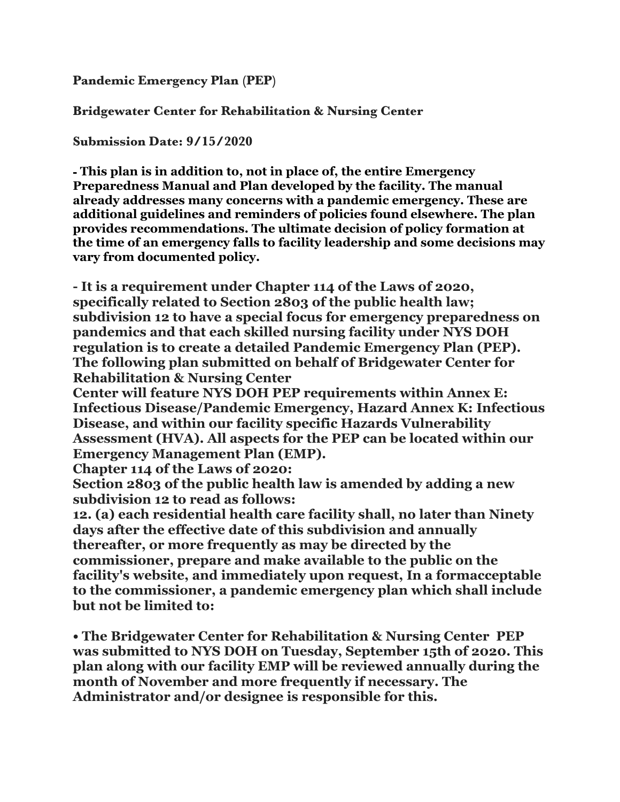**Pandemic Emergency Plan (PEP)** 

**Bridgewater Center for Rehabilitation & Nursing Center** 

**Submission Date: 9/15/2020** 

**- This plan is in addition to, not in place of, the entire Emergency Preparedness Manual and Plan developed by the facility. The manual already addresses many concerns with a pandemic emergency. These are additional guidelines and reminders of policies found elsewhere. The plan provides recommendations. The ultimate decision of policy formation at the time of an emergency falls to facility leadership and some decisions may vary from documented policy.** 

**- It is a requirement under Chapter 114 of the Laws of 2020, specifically related to Section 2803 of the public health law; subdivision 12 to have a special focus for emergency preparedness on pandemics and that each skilled nursing facility under NYS DOH regulation is to create a detailed Pandemic Emergency Plan (PEP). The following plan submitted on behalf of Bridgewater Center for Rehabilitation & Nursing Center** 

**Center will feature NYS DOH PEP requirements within Annex E: Infectious Disease/Pandemic Emergency, Hazard Annex K: Infectious Disease, and within our facility specific Hazards Vulnerability Assessment (HVA). All aspects for the PEP can be located within our Emergency Management Plan (EMP).** 

**Chapter 114 of the Laws of 2020:** 

**Section 2803 of the public health law is amended by adding a new subdivision 12 to read as follows:** 

**12. (a) each residential health care facility shall, no later than Ninety days after the effective date of this subdivision and annually thereafter, or more frequently as may be directed by the commissioner, prepare and make available to the public on the facility's website, and immediately upon request, In a formacceptable to the commissioner, a pandemic emergency plan which shall include but not be limited to:** 

**• The Bridgewater Center for Rehabilitation & Nursing Center PEP was submitted to NYS DOH on Tuesday, September 15th of 2020. This plan along with our facility EMP will be reviewed annually during the month of November and more frequently if necessary. The Administrator and/or designee is responsible for this.**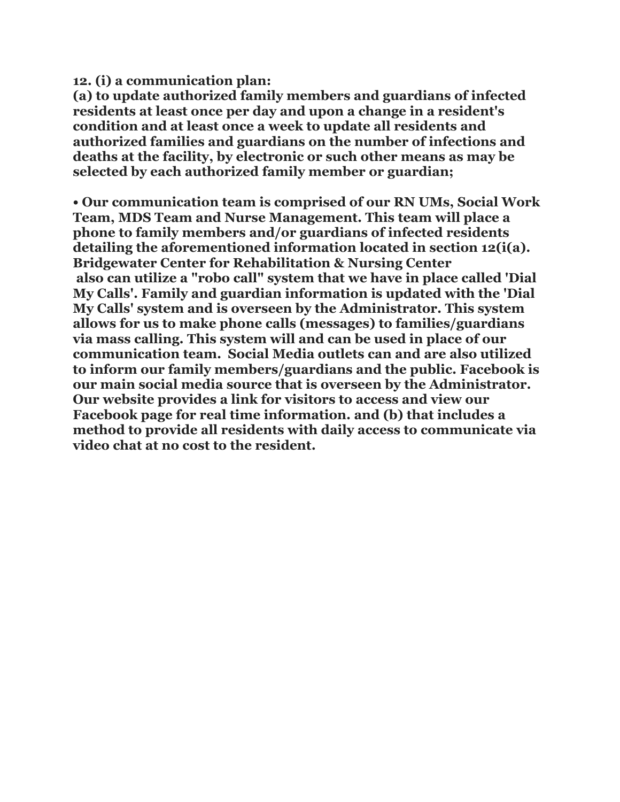**12. (i) a communication plan:** 

**(a) to update authorized family members and guardians of infected residents at least once per day and upon a change in a resident's condition and at least once a week to update all residents and authorized families and guardians on the number of infections and deaths at the facility, by electronic or such other means as may be selected by each authorized family member or guardian;** 

**• Our communication team is comprised of our RN UMs, Social Work Team, MDS Team and Nurse Management. This team will place a phone to family members and/or guardians of infected residents detailing the aforementioned information located in section 12(i(a). Bridgewater Center for Rehabilitation & Nursing Center also can utilize a "robo call" system that we have in place called 'Dial My Calls'. Family and guardian information is updated with the 'Dial My Calls' system and is overseen by the Administrator. This system allows for us to make phone calls (messages) to families/guardians via mass calling. This system will and can be used in place of our communication team. Social Media outlets can and are also utilized to inform our family members/guardians and the public. Facebook is our main social media source that is overseen by the Administrator. Our website provides a link for visitors to access and view our Facebook page for real time information. and (b) that includes a method to provide all residents with daily access to communicate via video chat at no cost to the resident.**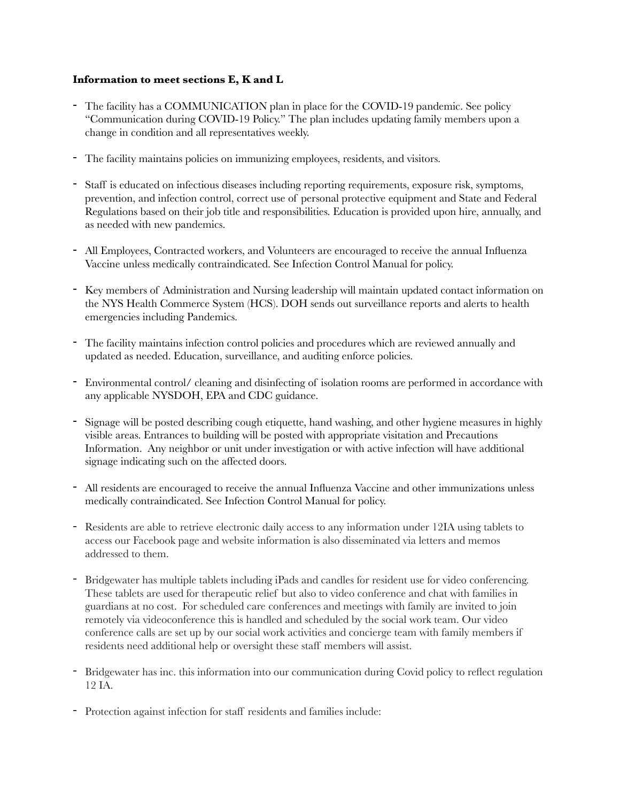## **Information to meet sections E, K and L**

- The facility has a COMMUNICATION plan in place for the COVID-19 pandemic. See policy "Communication during COVID-19 Policy." The plan includes updating family members upon a change in condition and all representatives weekly.
- The facility maintains policies on immunizing employees, residents, and visitors.
- Staff is educated on infectious diseases including reporting requirements, exposure risk, symptoms, prevention, and infection control, correct use of personal protective equipment and State and Federal Regulations based on their job title and responsibilities. Education is provided upon hire, annually, and as needed with new pandemics.
- All Employees, Contracted workers, and Volunteers are encouraged to receive the annual Influenza Vaccine unless medically contraindicated. See Infection Control Manual for policy.
- Key members of Administration and Nursing leadership will maintain updated contact information on the NYS Health Commerce System (HCS). DOH sends out surveillance reports and alerts to health emergencies including Pandemics.
- The facility maintains infection control policies and procedures which are reviewed annually and updated as needed. Education, surveillance, and auditing enforce policies.
- Environmental control/ cleaning and disinfecting of isolation rooms are performed in accordance with any applicable NYSDOH, EPA and CDC guidance.
- Signage will be posted describing cough etiquette, hand washing, and other hygiene measures in highly visible areas. Entrances to building will be posted with appropriate visitation and Precautions Information. Any neighbor or unit under investigation or with active infection will have additional signage indicating such on the affected doors.
- All residents are encouraged to receive the annual Influenza Vaccine and other immunizations unless medically contraindicated. See Infection Control Manual for policy.
- Residents are able to retrieve electronic daily access to any information under 12IA using tablets to access our Facebook page and website information is also disseminated via letters and memos addressed to them.
- Bridgewater has multiple tablets including iPads and candles for resident use for video conferencing. These tablets are used for therapeutic relief but also to video conference and chat with families in guardians at no cost. For scheduled care conferences and meetings with family are invited to join remotely via videoconference this is handled and scheduled by the social work team. Our video conference calls are set up by our social work activities and concierge team with family members if residents need additional help or oversight these staff members will assist.
- Bridgewater has inc. this information into our communication during Covid policy to reflect regulation 12 IA.
- Protection against infection for staff residents and families include: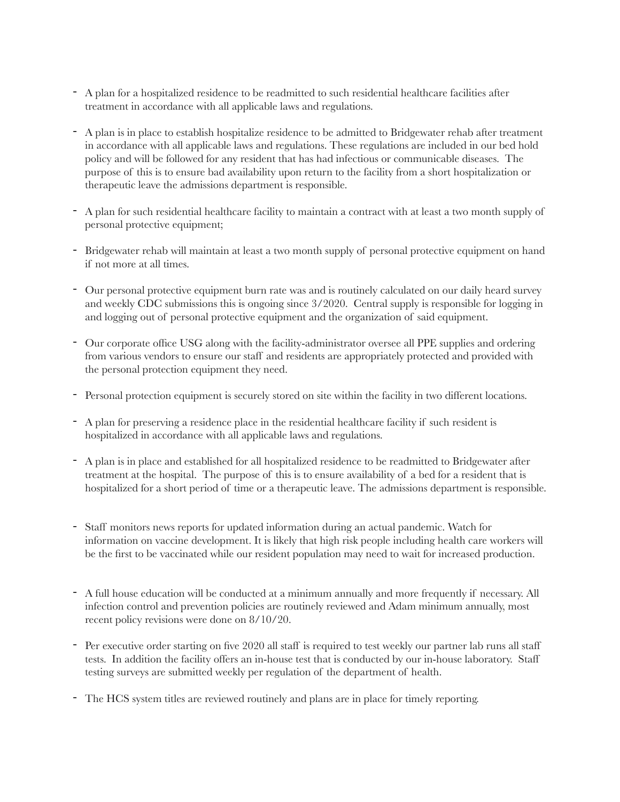- A plan for a hospitalized residence to be readmitted to such residential healthcare facilities after treatment in accordance with all applicable laws and regulations.
- A plan is in place to establish hospitalize residence to be admitted to Bridgewater rehab after treatment in accordance with all applicable laws and regulations. These regulations are included in our bed hold policy and will be followed for any resident that has had infectious or communicable diseases. The purpose of this is to ensure bad availability upon return to the facility from a short hospitalization or therapeutic leave the admissions department is responsible.
- A plan for such residential healthcare facility to maintain a contract with at least a two month supply of personal protective equipment;
- Bridgewater rehab will maintain at least a two month supply of personal protective equipment on hand if not more at all times.
- Our personal protective equipment burn rate was and is routinely calculated on our daily heard survey and weekly CDC submissions this is ongoing since 3/2020. Central supply is responsible for logging in and logging out of personal protective equipment and the organization of said equipment.
- Our corporate office USG along with the facility-administrator oversee all PPE supplies and ordering from various vendors to ensure our staff and residents are appropriately protected and provided with the personal protection equipment they need.
- Personal protection equipment is securely stored on site within the facility in two different locations.
- A plan for preserving a residence place in the residential healthcare facility if such resident is hospitalized in accordance with all applicable laws and regulations.
- A plan is in place and established for all hospitalized residence to be readmitted to Bridgewater after treatment at the hospital. The purpose of this is to ensure availability of a bed for a resident that is hospitalized for a short period of time or a therapeutic leave. The admissions department is responsible.
- Staff monitors news reports for updated information during an actual pandemic. Watch for information on vaccine development. It is likely that high risk people including health care workers will be the first to be vaccinated while our resident population may need to wait for increased production.
- A full house education will be conducted at a minimum annually and more frequently if necessary. All infection control and prevention policies are routinely reviewed and Adam minimum annually, most recent policy revisions were done on 8/10/20.
- Per executive order starting on five 2020 all staff is required to test weekly our partner lab runs all staff tests. In addition the facility offers an in-house test that is conducted by our in-house laboratory. Staff testing surveys are submitted weekly per regulation of the department of health.
- The HCS system titles are reviewed routinely and plans are in place for timely reporting.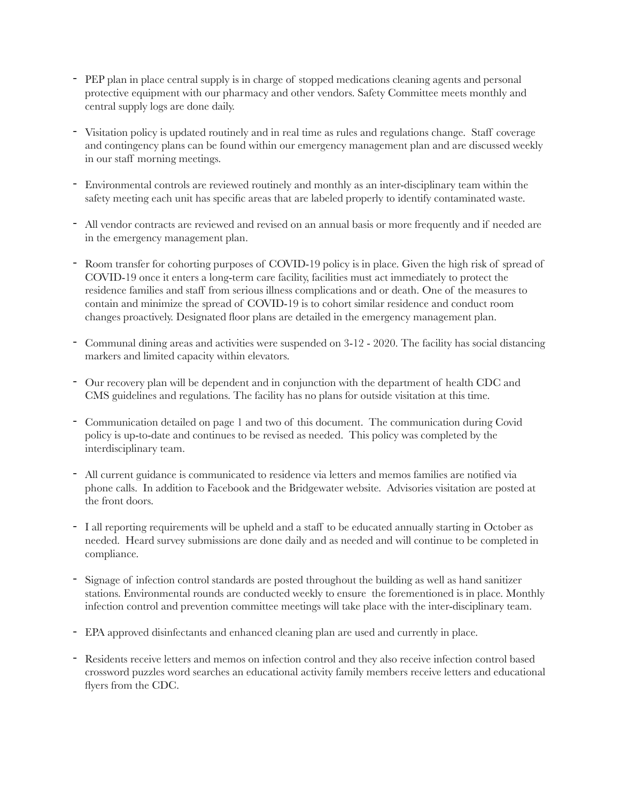- PEP plan in place central supply is in charge of stopped medications cleaning agents and personal protective equipment with our pharmacy and other vendors. Safety Committee meets monthly and central supply logs are done daily.
- Visitation policy is updated routinely and in real time as rules and regulations change. Staff coverage and contingency plans can be found within our emergency management plan and are discussed weekly in our staff morning meetings.
- Environmental controls are reviewed routinely and monthly as an inter-disciplinary team within the safety meeting each unit has specific areas that are labeled properly to identify contaminated waste.
- All vendor contracts are reviewed and revised on an annual basis or more frequently and if needed are in the emergency management plan.
- Room transfer for cohorting purposes of COVID-19 policy is in place. Given the high risk of spread of COVID-19 once it enters a long-term care facility, facilities must act immediately to protect the residence families and staff from serious illness complications and or death. One of the measures to contain and minimize the spread of COVID-19 is to cohort similar residence and conduct room changes proactively. Designated floor plans are detailed in the emergency management plan.
- Communal dining areas and activities were suspended on 3-12 2020. The facility has social distancing markers and limited capacity within elevators.
- Our recovery plan will be dependent and in conjunction with the department of health CDC and CMS guidelines and regulations. The facility has no plans for outside visitation at this time.
- Communication detailed on page 1 and two of this document. The communication during Covid policy is up-to-date and continues to be revised as needed. This policy was completed by the interdisciplinary team.
- All current guidance is communicated to residence via letters and memos families are notified via phone calls. In addition to Facebook and the Bridgewater website. Advisories visitation are posted at the front doors.
- I all reporting requirements will be upheld and a staff to be educated annually starting in October as needed. Heard survey submissions are done daily and as needed and will continue to be completed in compliance.
- Signage of infection control standards are posted throughout the building as well as hand sanitizer stations. Environmental rounds are conducted weekly to ensure the forementioned is in place. Monthly infection control and prevention committee meetings will take place with the inter-disciplinary team.
- EPA approved disinfectants and enhanced cleaning plan are used and currently in place.
- Residents receive letters and memos on infection control and they also receive infection control based crossword puzzles word searches an educational activity family members receive letters and educational flyers from the CDC.